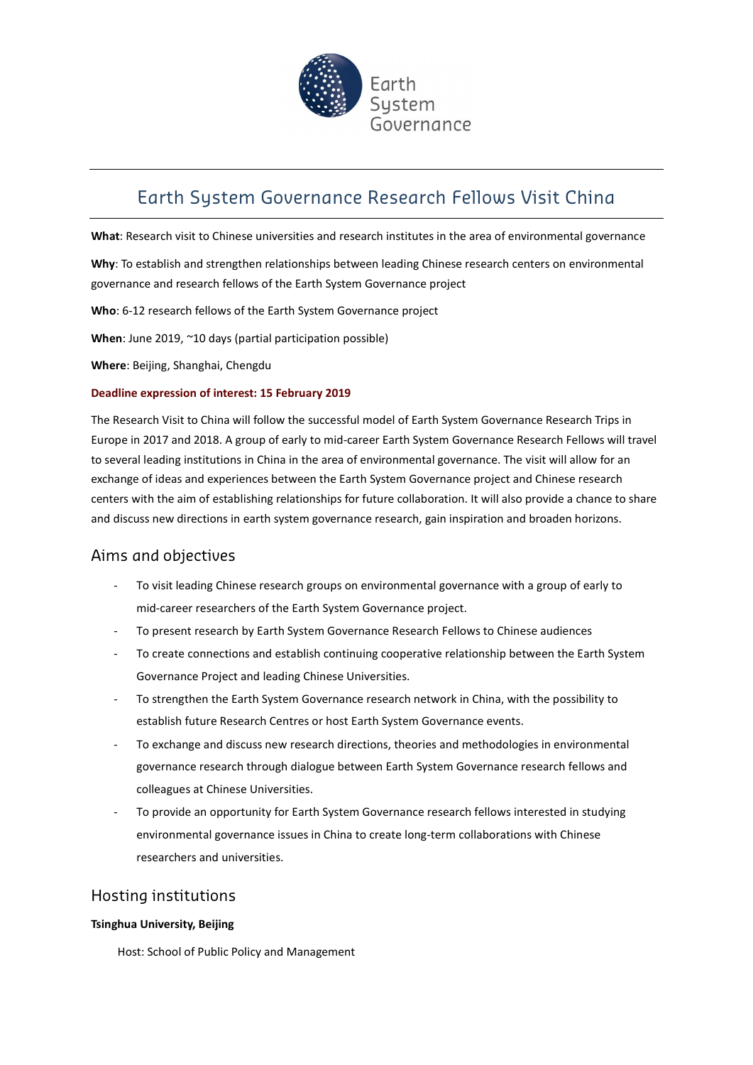

# Earth System Governance Research Fellows Visit China

What: Research visit to Chinese universities and research institutes in the area of environmental governance

Why: To establish and strengthen relationships between leading Chinese research centers on environmental governance and research fellows of the Earth System Governance project

Who: 6-12 research fellows of the Earth System Governance project

When: June 2019, ~10 days (partial participation possible)

Where: Beijing, Shanghai, Chengdu

#### Deadline expression of interest: 15 February 2019

The Research Visit to China will follow the successful model of Earth System Governance Research Trips in Europe in 2017 and 2018. A group of early to mid-career Earth System Governance Research Fellows will travel to several leading institutions in China in the area of environmental governance. The visit will allow for an exchange of ideas and experiences between the Earth System Governance project and Chinese research centers with the aim of establishing relationships for future collaboration. It will also provide a chance to share and discuss new directions in earth system governance research, gain inspiration and broaden horizons.

# Aims and objectives

- To visit leading Chinese research groups on environmental governance with a group of early to mid-career researchers of the Earth System Governance project.
- To present research by Earth System Governance Research Fellows to Chinese audiences
- To create connections and establish continuing cooperative relationship between the Earth System Governance Project and leading Chinese Universities.
- To strengthen the Earth System Governance research network in China, with the possibility to establish future Research Centres or host Earth System Governance events.
- To exchange and discuss new research directions, theories and methodologies in environmental governance research through dialogue between Earth System Governance research fellows and colleagues at Chinese Universities.
- To provide an opportunity for Earth System Governance research fellows interested in studying environmental governance issues in China to create long-term collaborations with Chinese researchers and universities.

# Hosting institutions

#### Tsinghua University, Beijing

Host: School of Public Policy and Management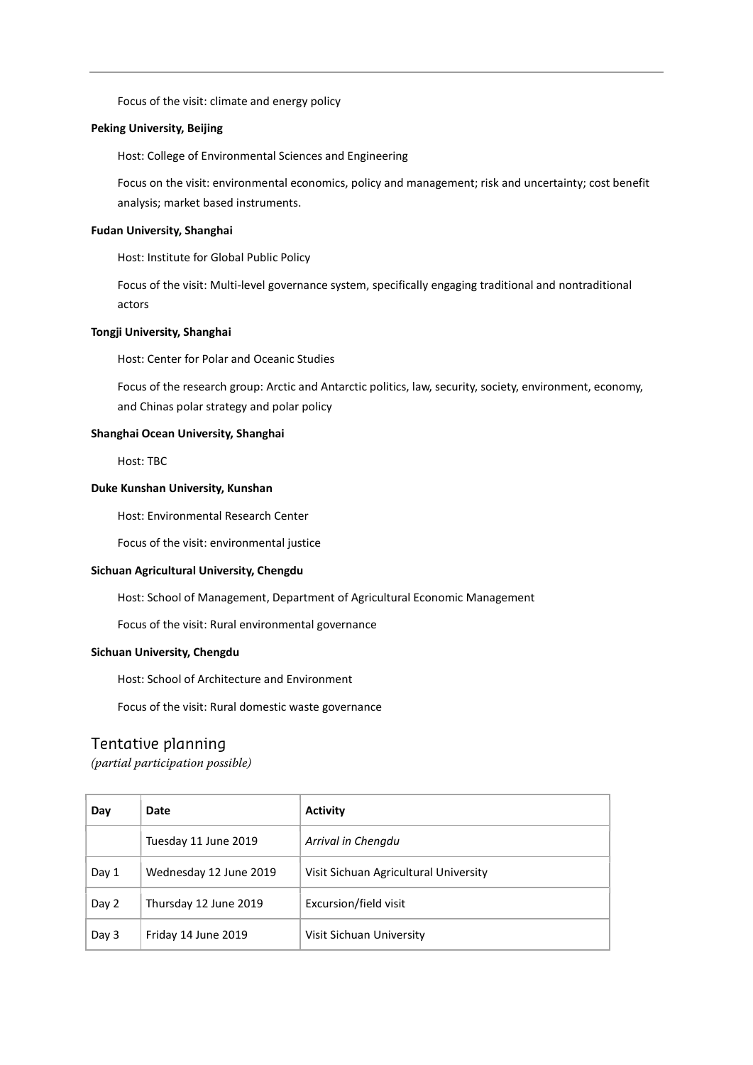Focus of the visit: climate and energy policy

#### Peking University, Beijing

Host: College of Environmental Sciences and Engineering

Focus on the visit: environmental economics, policy and management; risk and uncertainty; cost benefit analysis; market based instruments.

#### Fudan University, Shanghai

Host: Institute for Global Public Policy

Focus of the visit: Multi-level governance system, specifically engaging traditional and nontraditional actors

#### Tongji University, Shanghai

Host: Center for Polar and Oceanic Studies

Focus of the research group: Arctic and Antarctic politics, law, security, society, environment, economy, and Chinas polar strategy and polar policy

#### Shanghai Ocean University, Shanghai

Host: TBC

#### Duke Kunshan University, Kunshan

Host: Environmental Research Center

Focus of the visit: environmental justice

#### Sichuan Agricultural University, Chengdu

Host: School of Management, Department of Agricultural Economic Management

Focus of the visit: Rural environmental governance

#### Sichuan University, Chengdu

Host: School of Architecture and Environment

Focus of the visit: Rural domestic waste governance

### Tentative planning

(partial participation possible)

| Day   | Date                   | <b>Activity</b>                       |
|-------|------------------------|---------------------------------------|
|       | Tuesday 11 June 2019   | Arrival in Chengdu                    |
| Day 1 | Wednesday 12 June 2019 | Visit Sichuan Agricultural University |
| Day 2 | Thursday 12 June 2019  | Excursion/field visit                 |
| Day 3 | Friday 14 June 2019    | Visit Sichuan University              |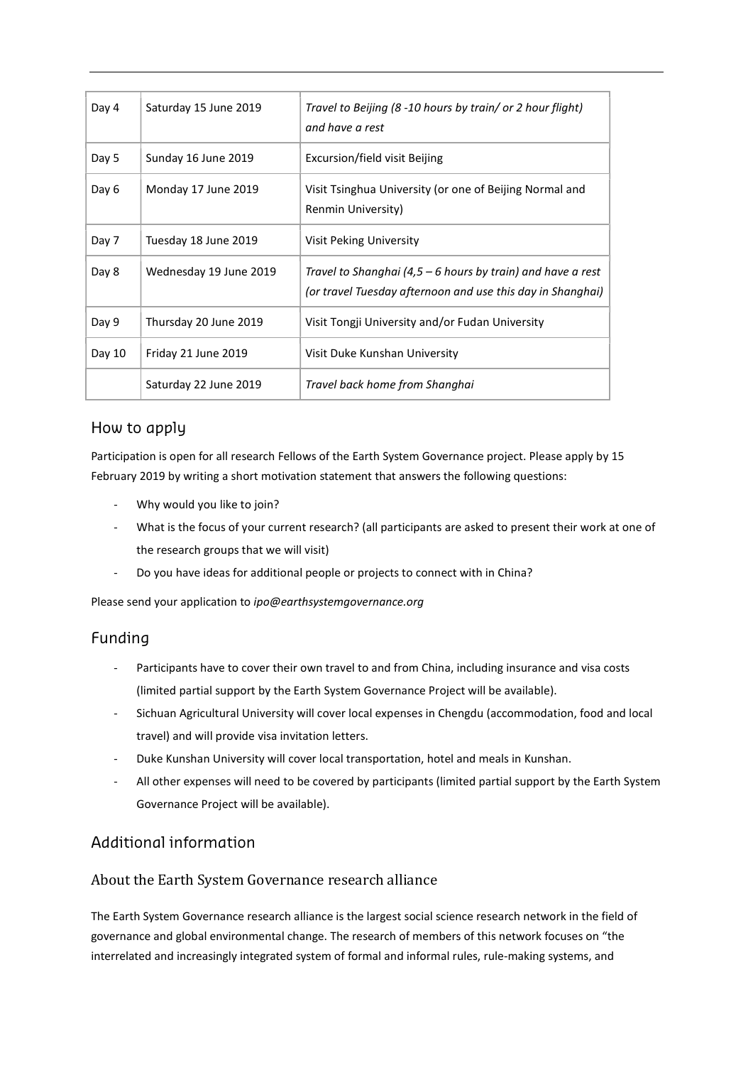| Day 4  | Saturday 15 June 2019  | Travel to Beijing (8 -10 hours by train/ or 2 hour flight)<br>and have a rest                                             |
|--------|------------------------|---------------------------------------------------------------------------------------------------------------------------|
| Day 5  | Sunday 16 June 2019    | Excursion/field visit Beijing                                                                                             |
| Day 6  | Monday 17 June 2019    | Visit Tsinghua University (or one of Beijing Normal and<br>Renmin University)                                             |
| Day 7  | Tuesday 18 June 2019   | Visit Peking University                                                                                                   |
| Day 8  | Wednesday 19 June 2019 | Travel to Shanghai (4,5 – 6 hours by train) and have a rest<br>(or travel Tuesday afternoon and use this day in Shanghai) |
| Day 9  | Thursday 20 June 2019  | Visit Tongji University and/or Fudan University                                                                           |
| Day 10 | Friday 21 June 2019    | Visit Duke Kunshan University                                                                                             |
|        | Saturday 22 June 2019  | Travel back home from Shanghai                                                                                            |

# How to apply

Participation is open for all research Fellows of the Earth System Governance project. Please apply by 15 February 2019 by writing a short motivation statement that answers the following questions:

- Why would you like to join?
- What is the focus of your current research? (all participants are asked to present their work at one of the research groups that we will visit)
- Do you have ideas for additional people or projects to connect with in China?

Please send your application to ipo@earthsystemgovernance.org

# Funding

- Participants have to cover their own travel to and from China, including insurance and visa costs (limited partial support by the Earth System Governance Project will be available).
- Sichuan Agricultural University will cover local expenses in Chengdu (accommodation, food and local travel) and will provide visa invitation letters.
- Duke Kunshan University will cover local transportation, hotel and meals in Kunshan.
- All other expenses will need to be covered by participants (limited partial support by the Earth System Governance Project will be available).

# Additional information

# About the Earth System Governance research alliance

The Earth System Governance research alliance is the largest social science research network in the field of governance and global environmental change. The research of members of this network focuses on "the interrelated and increasingly integrated system of formal and informal rules, rule-making systems, and